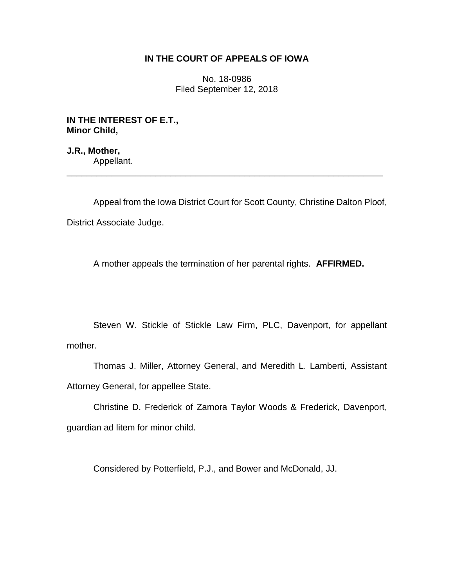## **IN THE COURT OF APPEALS OF IOWA**

No. 18-0986 Filed September 12, 2018

**IN THE INTEREST OF E.T., Minor Child,**

**J.R., Mother,** Appellant. \_\_\_\_\_\_\_\_\_\_\_\_\_\_\_\_\_\_\_\_\_\_\_\_\_\_\_\_\_\_\_\_\_\_\_\_\_\_\_\_\_\_\_\_\_\_\_\_\_\_\_\_\_\_\_\_\_\_\_\_\_\_\_\_

Appeal from the Iowa District Court for Scott County, Christine Dalton Ploof, District Associate Judge.

A mother appeals the termination of her parental rights. **AFFIRMED.** 

Steven W. Stickle of Stickle Law Firm, PLC, Davenport, for appellant mother.

Thomas J. Miller, Attorney General, and Meredith L. Lamberti, Assistant Attorney General, for appellee State.

Christine D. Frederick of Zamora Taylor Woods & Frederick, Davenport, guardian ad litem for minor child.

Considered by Potterfield, P.J., and Bower and McDonald, JJ.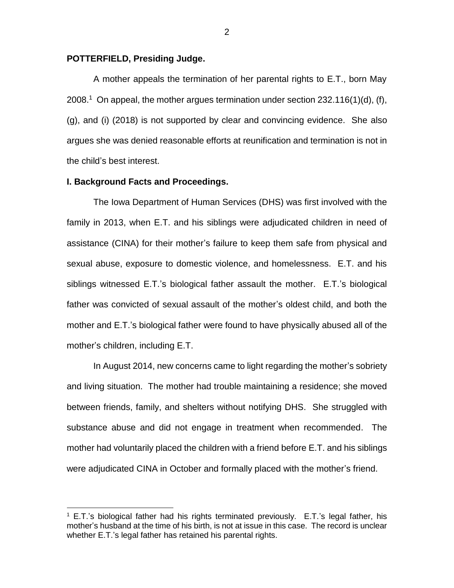### **POTTERFIELD, Presiding Judge.**

A mother appeals the termination of her parental rights to E.T., born May 2008.<sup>1</sup> On appeal, the mother argues termination under section 232.116(1)(d), (f), (g), and (i) (2018) is not supported by clear and convincing evidence. She also argues she was denied reasonable efforts at reunification and termination is not in the child's best interest.

### **I. Background Facts and Proceedings.**

 $\overline{a}$ 

The Iowa Department of Human Services (DHS) was first involved with the family in 2013, when E.T. and his siblings were adjudicated children in need of assistance (CINA) for their mother's failure to keep them safe from physical and sexual abuse, exposure to domestic violence, and homelessness. E.T. and his siblings witnessed E.T.'s biological father assault the mother. E.T.'s biological father was convicted of sexual assault of the mother's oldest child, and both the mother and E.T.'s biological father were found to have physically abused all of the mother's children, including E.T.

In August 2014, new concerns came to light regarding the mother's sobriety and living situation. The mother had trouble maintaining a residence; she moved between friends, family, and shelters without notifying DHS. She struggled with substance abuse and did not engage in treatment when recommended. The mother had voluntarily placed the children with a friend before E.T. and his siblings were adjudicated CINA in October and formally placed with the mother's friend.

 $1$  E.T.'s biological father had his rights terminated previously. E.T.'s legal father, his mother's husband at the time of his birth, is not at issue in this case. The record is unclear whether E.T.'s legal father has retained his parental rights.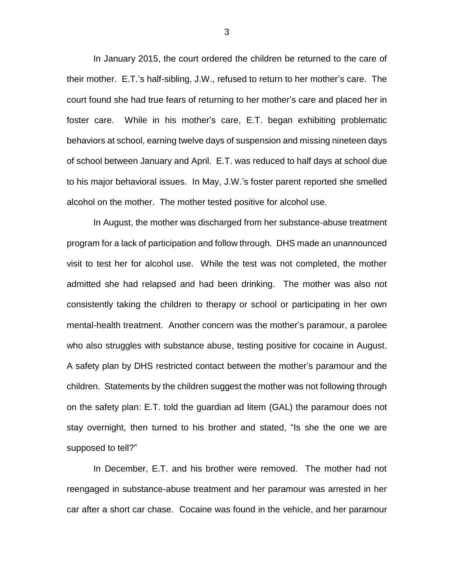In January 2015, the court ordered the children be returned to the care of their mother. E.T.'s half-sibling, J.W., refused to return to her mother's care. The court found she had true fears of returning to her mother's care and placed her in foster care. While in his mother's care, E.T. began exhibiting problematic behaviors at school, earning twelve days of suspension and missing nineteen days of school between January and April. E.T. was reduced to half days at school due to his major behavioral issues. In May, J.W.'s foster parent reported she smelled alcohol on the mother. The mother tested positive for alcohol use.

In August, the mother was discharged from her substance-abuse treatment program for a lack of participation and follow through. DHS made an unannounced visit to test her for alcohol use. While the test was not completed, the mother admitted she had relapsed and had been drinking. The mother was also not consistently taking the children to therapy or school or participating in her own mental-health treatment. Another concern was the mother's paramour, a parolee who also struggles with substance abuse, testing positive for cocaine in August. A safety plan by DHS restricted contact between the mother's paramour and the children. Statements by the children suggest the mother was not following through on the safety plan: E.T. told the guardian ad litem (GAL) the paramour does not stay overnight, then turned to his brother and stated, "Is she the one we are supposed to tell?"

In December, E.T. and his brother were removed. The mother had not reengaged in substance-abuse treatment and her paramour was arrested in her car after a short car chase. Cocaine was found in the vehicle, and her paramour

3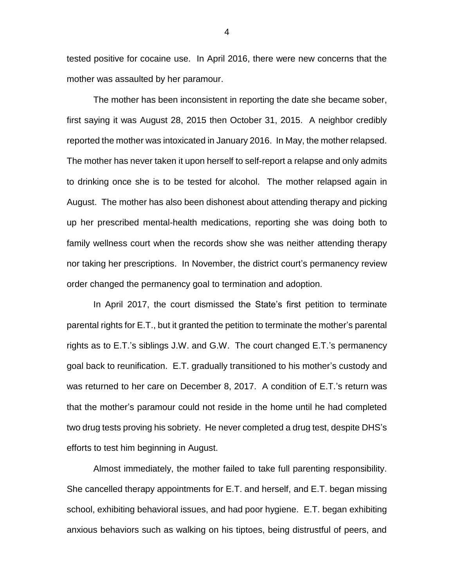tested positive for cocaine use. In April 2016, there were new concerns that the mother was assaulted by her paramour.

The mother has been inconsistent in reporting the date she became sober, first saying it was August 28, 2015 then October 31, 2015. A neighbor credibly reported the mother was intoxicated in January 2016. In May, the mother relapsed. The mother has never taken it upon herself to self-report a relapse and only admits to drinking once she is to be tested for alcohol. The mother relapsed again in August. The mother has also been dishonest about attending therapy and picking up her prescribed mental-health medications, reporting she was doing both to family wellness court when the records show she was neither attending therapy nor taking her prescriptions. In November, the district court's permanency review order changed the permanency goal to termination and adoption.

In April 2017, the court dismissed the State's first petition to terminate parental rights for E.T., but it granted the petition to terminate the mother's parental rights as to E.T.'s siblings J.W. and G.W. The court changed E.T.'s permanency goal back to reunification. E.T. gradually transitioned to his mother's custody and was returned to her care on December 8, 2017. A condition of E.T.'s return was that the mother's paramour could not reside in the home until he had completed two drug tests proving his sobriety. He never completed a drug test, despite DHS's efforts to test him beginning in August.

Almost immediately, the mother failed to take full parenting responsibility. She cancelled therapy appointments for E.T. and herself, and E.T. began missing school, exhibiting behavioral issues, and had poor hygiene. E.T. began exhibiting anxious behaviors such as walking on his tiptoes, being distrustful of peers, and

4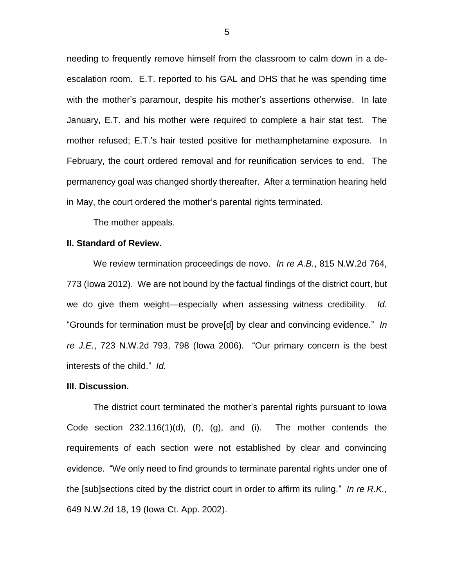needing to frequently remove himself from the classroom to calm down in a deescalation room. E.T. reported to his GAL and DHS that he was spending time with the mother's paramour, despite his mother's assertions otherwise. In late January, E.T. and his mother were required to complete a hair stat test. The mother refused; E.T.'s hair tested positive for methamphetamine exposure. In February, the court ordered removal and for reunification services to end. The permanency goal was changed shortly thereafter. After a termination hearing held in May, the court ordered the mother's parental rights terminated.

The mother appeals.

#### **II. Standard of Review.**

We review termination proceedings de novo. *In re A.B.*, 815 N.W.2d 764, 773 (Iowa 2012). We are not bound by the factual findings of the district court, but we do give them weight—especially when assessing witness credibility. *Id.*  "Grounds for termination must be prove[d] by clear and convincing evidence." *In re J.E.*, 723 N.W.2d 793, 798 (Iowa 2006). "Our primary concern is the best interests of the child." *Id.*

#### **III. Discussion.**

The district court terminated the mother's parental rights pursuant to Iowa Code section  $232.116(1)(d)$ , (f), (g), and (i). The mother contends the requirements of each section were not established by clear and convincing evidence. "We only need to find grounds to terminate parental rights under one of the [sub]sections cited by the district court in order to affirm its ruling." *In re R.K.*, 649 N.W.2d 18, 19 (Iowa Ct. App. 2002).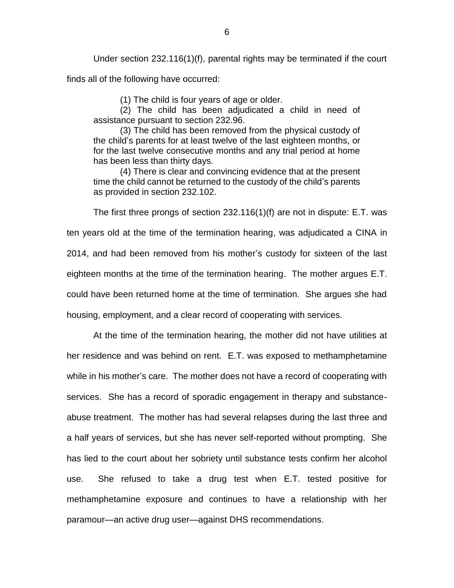Under section 232.116(1)(f), parental rights may be terminated if the court finds all of the following have occurred:

(1) The child is four years of age or older.

(2) The child has been adjudicated a child in need of assistance pursuant to section 232.96.

(3) The child has been removed from the physical custody of the child's parents for at least twelve of the last eighteen months, or for the last twelve consecutive months and any trial period at home has been less than thirty days.

(4) There is clear and convincing evidence that at the present time the child cannot be returned to the custody of the child's parents as provided in section 232.102.

The first three prongs of section 232.116(1)(f) are not in dispute: E.T. was ten years old at the time of the termination hearing, was adjudicated a CINA in 2014, and had been removed from his mother's custody for sixteen of the last eighteen months at the time of the termination hearing. The mother argues E.T. could have been returned home at the time of termination. She argues she had housing, employment, and a clear record of cooperating with services.

At the time of the termination hearing, the mother did not have utilities at her residence and was behind on rent. E.T. was exposed to methamphetamine while in his mother's care. The mother does not have a record of cooperating with services. She has a record of sporadic engagement in therapy and substanceabuse treatment. The mother has had several relapses during the last three and a half years of services, but she has never self-reported without prompting. She has lied to the court about her sobriety until substance tests confirm her alcohol use. She refused to take a drug test when E.T. tested positive for methamphetamine exposure and continues to have a relationship with her paramour—an active drug user—against DHS recommendations.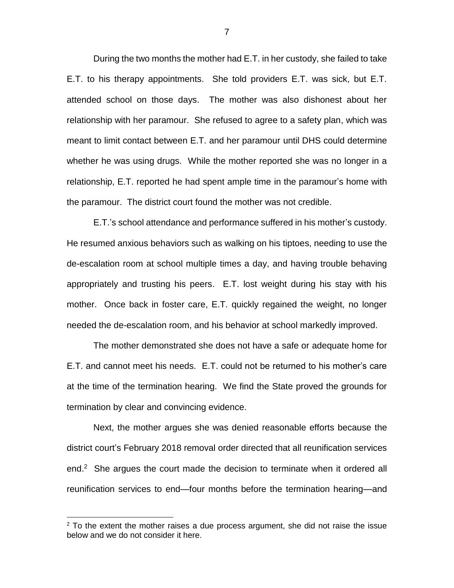During the two months the mother had E.T. in her custody, she failed to take E.T. to his therapy appointments. She told providers E.T. was sick, but E.T. attended school on those days. The mother was also dishonest about her relationship with her paramour. She refused to agree to a safety plan, which was meant to limit contact between E.T. and her paramour until DHS could determine whether he was using drugs. While the mother reported she was no longer in a relationship, E.T. reported he had spent ample time in the paramour's home with the paramour. The district court found the mother was not credible.

E.T.'s school attendance and performance suffered in his mother's custody. He resumed anxious behaviors such as walking on his tiptoes, needing to use the de-escalation room at school multiple times a day, and having trouble behaving appropriately and trusting his peers. E.T. lost weight during his stay with his mother. Once back in foster care, E.T. quickly regained the weight, no longer needed the de-escalation room, and his behavior at school markedly improved.

The mother demonstrated she does not have a safe or adequate home for E.T. and cannot meet his needs. E.T. could not be returned to his mother's care at the time of the termination hearing. We find the State proved the grounds for termination by clear and convincing evidence.

Next, the mother argues she was denied reasonable efforts because the district court's February 2018 removal order directed that all reunification services end.<sup>2</sup> She argues the court made the decision to terminate when it ordered all reunification services to end—four months before the termination hearing—and

 $\overline{a}$ 

 $2$  To the extent the mother raises a due process argument, she did not raise the issue below and we do not consider it here.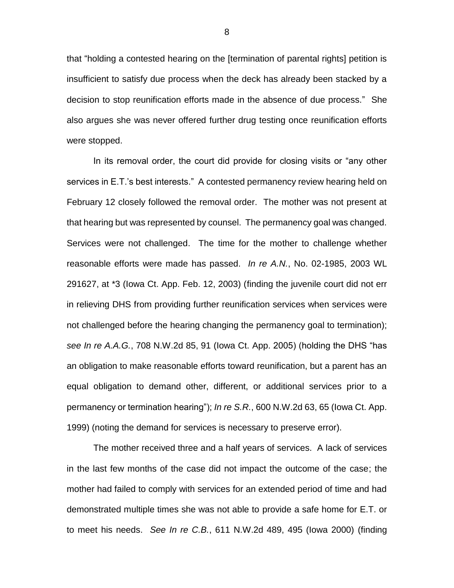that "holding a contested hearing on the [termination of parental rights] petition is insufficient to satisfy due process when the deck has already been stacked by a decision to stop reunification efforts made in the absence of due process." She also argues she was never offered further drug testing once reunification efforts were stopped.

In its removal order, the court did provide for closing visits or "any other services in E.T.'s best interests." A contested permanency review hearing held on February 12 closely followed the removal order. The mother was not present at that hearing but was represented by counsel. The permanency goal was changed. Services were not challenged. The time for the mother to challenge whether reasonable efforts were made has passed. *In re A.N.*, No. 02-1985, 2003 WL 291627, at \*3 (Iowa Ct. App. Feb. 12, 2003) (finding the juvenile court did not err in relieving DHS from providing further reunification services when services were not challenged before the hearing changing the permanency goal to termination); *see In re A.A.G.*, 708 N.W.2d 85, 91 (Iowa Ct. App. 2005) (holding the DHS "has an obligation to make reasonable efforts toward reunification, but a parent has an equal obligation to demand other, different, or additional services prior to a permanency or termination hearing"); *In re S.R.*, 600 N.W.2d 63, 65 (Iowa Ct. App. 1999) (noting the demand for services is necessary to preserve error).

The mother received three and a half years of services. A lack of services in the last few months of the case did not impact the outcome of the case; the mother had failed to comply with services for an extended period of time and had demonstrated multiple times she was not able to provide a safe home for E.T. or to meet his needs. *See In re C.B.*, 611 N.W.2d 489, 495 (Iowa 2000) (finding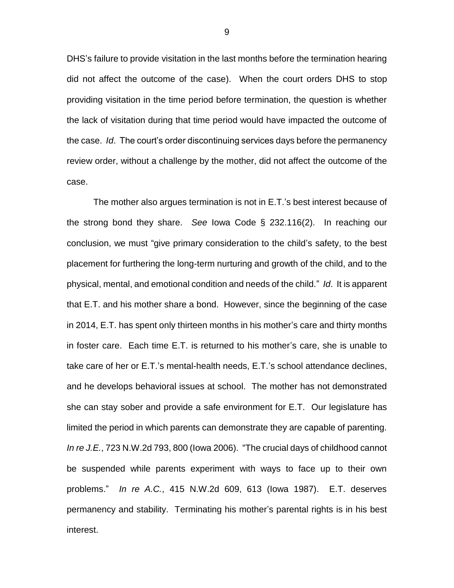DHS's failure to provide visitation in the last months before the termination hearing did not affect the outcome of the case). When the court orders DHS to stop providing visitation in the time period before termination, the question is whether the lack of visitation during that time period would have impacted the outcome of the case. *Id*. The court's order discontinuing services days before the permanency review order, without a challenge by the mother, did not affect the outcome of the case.

The mother also argues termination is not in E.T.'s best interest because of the strong bond they share. *See* Iowa Code § 232.116(2). In reaching our conclusion, we must "give primary consideration to the child's safety, to the best placement for furthering the long-term nurturing and growth of the child, and to the physical, mental, and emotional condition and needs of the child." *Id*. It is apparent that E.T. and his mother share a bond. However, since the beginning of the case in 2014, E.T. has spent only thirteen months in his mother's care and thirty months in foster care. Each time E.T. is returned to his mother's care, she is unable to take care of her or E.T.'s mental-health needs, E.T.'s school attendance declines, and he develops behavioral issues at school. The mother has not demonstrated she can stay sober and provide a safe environment for E.T. Our legislature has limited the period in which parents can demonstrate they are capable of parenting. *In re J.E.*, 723 N.W.2d 793, 800 (Iowa 2006). "The crucial days of childhood cannot be suspended while parents experiment with ways to face up to their own problems." *In re A.C.*, 415 N.W.2d 609, 613 (Iowa 1987). E.T. deserves permanency and stability. Terminating his mother's parental rights is in his best interest.

9